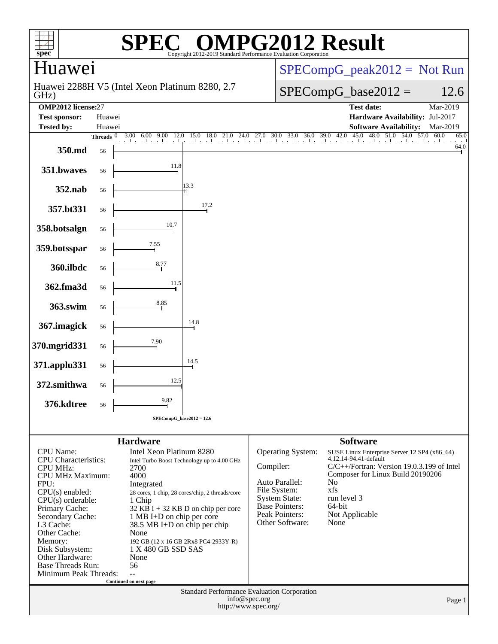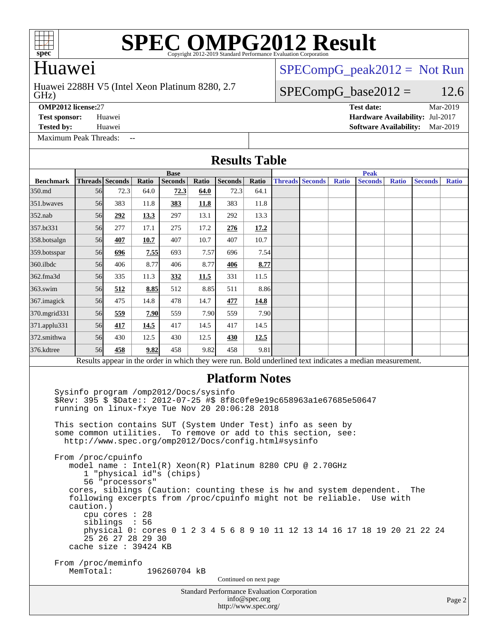

### Huawei

#### GHz) Huawei 2288H V5 (Intel Xeon Platinum 8280, 2.7

 $SPECompG_peak2012 = Not Run$  $SPECompG_peak2012 = Not Run$ 

#### $SPECompG_base2012 = 12.6$  $SPECompG_base2012 = 12.6$

[Maximum Peak Threads:](http://www.spec.org/auto/omp2012/Docs/result-fields.html#MaximumPeakThreads)

**[OMP2012 license:](http://www.spec.org/auto/omp2012/Docs/result-fields.html#OMP2012license)**27 **[Test date:](http://www.spec.org/auto/omp2012/Docs/result-fields.html#Testdate)** Mar-2019 **[Test sponsor:](http://www.spec.org/auto/omp2012/Docs/result-fields.html#Testsponsor)** Huawei **[Hardware Availability:](http://www.spec.org/auto/omp2012/Docs/result-fields.html#HardwareAvailability)** Jul-2017 **[Tested by:](http://www.spec.org/auto/omp2012/Docs/result-fields.html#Testedby)** Huawei **[Software Availability:](http://www.spec.org/auto/omp2012/Docs/result-fields.html#SoftwareAvailability)** Mar-2019

Standard Performance Evaluation Corporation [info@spec.org](mailto:info@spec.org) Page 2 **[Results Table](http://www.spec.org/auto/omp2012/Docs/result-fields.html#ResultsTable) [Benchmark](http://www.spec.org/auto/omp2012/Docs/result-fields.html#Benchmark) [Threads](http://www.spec.org/auto/omp2012/Docs/result-fields.html#Threads) [Seconds](http://www.spec.org/auto/omp2012/Docs/result-fields.html#Seconds) [Ratio](http://www.spec.org/auto/omp2012/Docs/result-fields.html#Ratio) [Seconds](http://www.spec.org/auto/omp2012/Docs/result-fields.html#Seconds) [Ratio](http://www.spec.org/auto/omp2012/Docs/result-fields.html#Ratio) [Seconds](http://www.spec.org/auto/omp2012/Docs/result-fields.html#Seconds) [Ratio](http://www.spec.org/auto/omp2012/Docs/result-fields.html#Ratio) Base [Threads](http://www.spec.org/auto/omp2012/Docs/result-fields.html#Threads) [Seconds](http://www.spec.org/auto/omp2012/Docs/result-fields.html#Seconds) [Ratio](http://www.spec.org/auto/omp2012/Docs/result-fields.html#Ratio) [Seconds](http://www.spec.org/auto/omp2012/Docs/result-fields.html#Seconds) [Ratio](http://www.spec.org/auto/omp2012/Docs/result-fields.html#Ratio) [Seconds](http://www.spec.org/auto/omp2012/Docs/result-fields.html#Seconds) [Ratio](http://www.spec.org/auto/omp2012/Docs/result-fields.html#Ratio) Peak** [350.md](http://www.spec.org/auto/omp2012/Docs/350.md.html) 56 72.3 64.0 **[72.3](http://www.spec.org/auto/omp2012/Docs/result-fields.html#Median) [64.0](http://www.spec.org/auto/omp2012/Docs/result-fields.html#Median)** 72.3 64.1 [351.bwaves](http://www.spec.org/auto/omp2012/Docs/351.bwaves.html) 56 383 11.8 **[383](http://www.spec.org/auto/omp2012/Docs/result-fields.html#Median) [11.8](http://www.spec.org/auto/omp2012/Docs/result-fields.html#Median)** 383 11.8 [352.nab](http://www.spec.org/auto/omp2012/Docs/352.nab.html) 56 **[292](http://www.spec.org/auto/omp2012/Docs/result-fields.html#Median) [13.3](http://www.spec.org/auto/omp2012/Docs/result-fields.html#Median)** 297 13.1 292 13.3 [357.bt331](http://www.spec.org/auto/omp2012/Docs/357.bt331.html) 56 277 17.1 275 17.2 **[276](http://www.spec.org/auto/omp2012/Docs/result-fields.html#Median) [17.2](http://www.spec.org/auto/omp2012/Docs/result-fields.html#Median)** [358.botsalgn](http://www.spec.org/auto/omp2012/Docs/358.botsalgn.html) 56 **[407](http://www.spec.org/auto/omp2012/Docs/result-fields.html#Median) [10.7](http://www.spec.org/auto/omp2012/Docs/result-fields.html#Median)** 407 10.7 407 10.7 [359.botsspar](http://www.spec.org/auto/omp2012/Docs/359.botsspar.html) 56 **[696](http://www.spec.org/auto/omp2012/Docs/result-fields.html#Median) [7.55](http://www.spec.org/auto/omp2012/Docs/result-fields.html#Median)** 693 7.57 696 7.54 [360.ilbdc](http://www.spec.org/auto/omp2012/Docs/360.ilbdc.html) 56 406 8.77 406 8.77 **[406](http://www.spec.org/auto/omp2012/Docs/result-fields.html#Median) [8.77](http://www.spec.org/auto/omp2012/Docs/result-fields.html#Median)** [362.fma3d](http://www.spec.org/auto/omp2012/Docs/362.fma3d.html) **1 56 335 11.3** [332](http://www.spec.org/auto/omp2012/Docs/result-fields.html#Median) [11.5](http://www.spec.org/auto/omp2012/Docs/result-fields.html#Median) 331 11.5 [363.swim](http://www.spec.org/auto/omp2012/Docs/363.swim.html) 56 **[512](http://www.spec.org/auto/omp2012/Docs/result-fields.html#Median) [8.85](http://www.spec.org/auto/omp2012/Docs/result-fields.html#Median)** 512 8.85 511 8.86 [367.imagick](http://www.spec.org/auto/omp2012/Docs/367.imagick.html) 56 475 14.8 478 14.7 **[477](http://www.spec.org/auto/omp2012/Docs/result-fields.html#Median) [14.8](http://www.spec.org/auto/omp2012/Docs/result-fields.html#Median)** [370.mgrid331](http://www.spec.org/auto/omp2012/Docs/370.mgrid331.html) 56 **[559](http://www.spec.org/auto/omp2012/Docs/result-fields.html#Median) [7.90](http://www.spec.org/auto/omp2012/Docs/result-fields.html#Median)** 559 7.90 559 7.90 [371.applu331](http://www.spec.org/auto/omp2012/Docs/371.applu331.html) 56 **[417](http://www.spec.org/auto/omp2012/Docs/result-fields.html#Median) [14.5](http://www.spec.org/auto/omp2012/Docs/result-fields.html#Median)** 417 14.5 417 14.5 [372.smithwa](http://www.spec.org/auto/omp2012/Docs/372.smithwa.html) 56 430 12.5 430 12.5 **[430](http://www.spec.org/auto/omp2012/Docs/result-fields.html#Median) [12.5](http://www.spec.org/auto/omp2012/Docs/result-fields.html#Median)** [376.kdtree](http://www.spec.org/auto/omp2012/Docs/376.kdtree.html) 56 **[458](http://www.spec.org/auto/omp2012/Docs/result-fields.html#Median) [9.82](http://www.spec.org/auto/omp2012/Docs/result-fields.html#Median)** 458 9.82 458 9.81 Results appear in the [order in which they were run.](http://www.spec.org/auto/omp2012/Docs/result-fields.html#RunOrder) Bold underlined text [indicates a median measurement.](http://www.spec.org/auto/omp2012/Docs/result-fields.html#Median) **[Platform Notes](http://www.spec.org/auto/omp2012/Docs/result-fields.html#PlatformNotes)** Sysinfo program /omp2012/Docs/sysinfo \$Rev: 395 \$ \$Date:: 2012-07-25 #\$ 8f8c0fe9e19c658963a1e67685e50647 running on linux-fxye Tue Nov 20 20:06:28 2018 This section contains SUT (System Under Test) info as seen by some common utilities. To remove or add to this section, see: <http://www.spec.org/omp2012/Docs/config.html#sysinfo> From /proc/cpuinfo model name : Intel(R) Xeon(R) Platinum 8280 CPU @ 2.70GHz 1 "physical id"s (chips) 56 "processors" cores, siblings (Caution: counting these is hw and system dependent. The following excerpts from /proc/cpuinfo might not be reliable. Use with caution.) cpu cores : 28 siblings : 56 physical 0: cores 0 1 2 3 4 5 6 8 9 10 11 12 13 14 16 17 18 19 20 21 22 24 25 26 27 28 29 30 cache size : 39424 KB From /proc/meminfo<br>MemTotal: 196260704 kB Continued on next page

<http://www.spec.org/>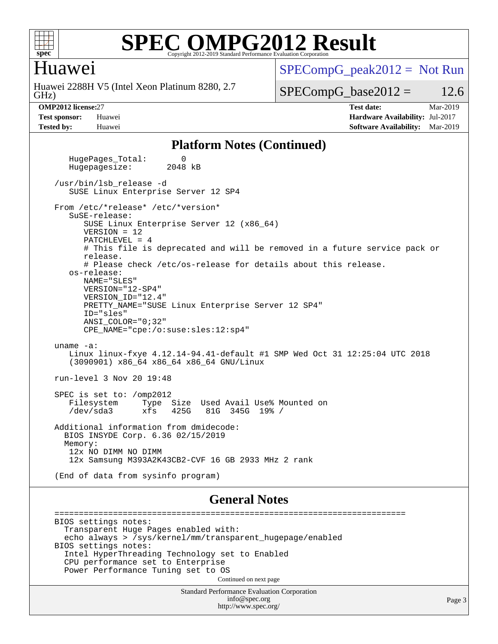

#### Huawei

GHz) Huawei 2288H V5 (Intel Xeon Platinum 8280, 2.7  $SPECompG_peak2012 = Not Run$  $SPECompG_peak2012 = Not Run$ 

 $SPECompG_base2012 = 12.6$  $SPECompG_base2012 = 12.6$ 

**[OMP2012 license:](http://www.spec.org/auto/omp2012/Docs/result-fields.html#OMP2012license)**27 **[Test date:](http://www.spec.org/auto/omp2012/Docs/result-fields.html#Testdate)** Mar-2019 **[Test sponsor:](http://www.spec.org/auto/omp2012/Docs/result-fields.html#Testsponsor)** Huawei **[Hardware Availability:](http://www.spec.org/auto/omp2012/Docs/result-fields.html#HardwareAvailability)** Jul-2017 **[Tested by:](http://www.spec.org/auto/omp2012/Docs/result-fields.html#Testedby)** Huawei **[Software Availability:](http://www.spec.org/auto/omp2012/Docs/result-fields.html#SoftwareAvailability)** Mar-2019

#### **[Platform Notes \(Continued\)](http://www.spec.org/auto/omp2012/Docs/result-fields.html#PlatformNotes)**

HugePages\_Total: 0<br>Hugepagesize: 2048 kB Hugepagesize: /usr/bin/lsb\_release -d SUSE Linux Enterprise Server 12 SP4 From /etc/\*release\* /etc/\*version\* SuSE-release: SUSE Linux Enterprise Server 12 (x86\_64) VERSION = 12 PATCHLEVEL = 4 # This file is deprecated and will be removed in a future service pack or release. # Please check /etc/os-release for details about this release. os-release: NAME="SLES" VERSION="12-SP4" VERSION\_ID="12.4" PRETTY\_NAME="SUSE Linux Enterprise Server 12 SP4" ID="sles" ANSI\_COLOR="0;32" CPE\_NAME="cpe:/o:suse:sles:12:sp4" uname -a: Linux linux-fxye 4.12.14-94.41-default #1 SMP Wed Oct 31 12:25:04 UTC 2018 (3090901) x86\_64 x86\_64 x86\_64 GNU/Linux run-level 3 Nov 20 19:48 SPEC is set to: /omp2012 Filesystem Type Size Used Avail Use% Mounted on<br>
/dev/sda3 xfs 425G 81G 345G 19% / 81G 345G 19% / Additional information from dmidecode: BIOS INSYDE Corp. 6.36 02/15/2019 Memory: 12x NO DIMM NO DIMM 12x Samsung M393A2K43CB2-CVF 16 GB 2933 MHz 2 rank (End of data from sysinfo program)

#### **[General Notes](http://www.spec.org/auto/omp2012/Docs/result-fields.html#GeneralNotes)**

 ======================================================================== BIOS settings notes: Transparent Huge Pages enabled with: echo always > /sys/kernel/mm/transparent\_hugepage/enabled BIOS settings notes: Intel HyperThreading Technology set to Enabled CPU performance set to Enterprise Power Performance Tuning set to OS Continued on next page

> Standard Performance Evaluation Corporation [info@spec.org](mailto:info@spec.org) <http://www.spec.org/>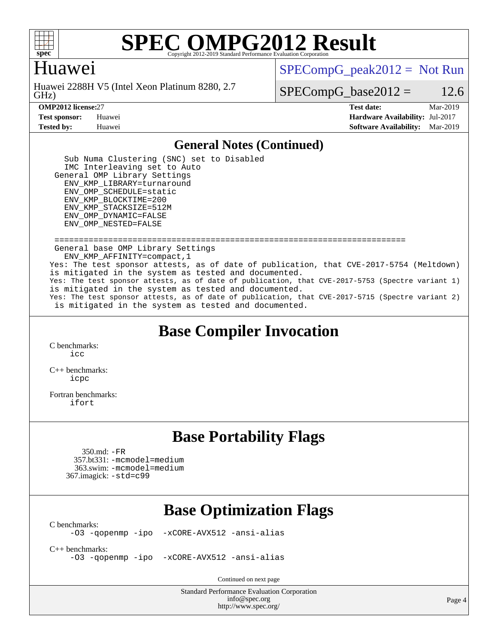

#### Huawei

GHz) Huawei 2288H V5 (Intel Xeon Platinum 8280, 2.7  $SPECompG_peak2012 = Not Run$  $SPECompG_peak2012 = Not Run$ 

 $SPECompG_base2012 = 12.6$  $SPECompG_base2012 = 12.6$ 

**[OMP2012 license:](http://www.spec.org/auto/omp2012/Docs/result-fields.html#OMP2012license)**27 **[Test date:](http://www.spec.org/auto/omp2012/Docs/result-fields.html#Testdate)** Mar-2019 **[Test sponsor:](http://www.spec.org/auto/omp2012/Docs/result-fields.html#Testsponsor)** Huawei **[Hardware Availability:](http://www.spec.org/auto/omp2012/Docs/result-fields.html#HardwareAvailability)** Jul-2017 **[Tested by:](http://www.spec.org/auto/omp2012/Docs/result-fields.html#Testedby)** Huawei **[Software Availability:](http://www.spec.org/auto/omp2012/Docs/result-fields.html#SoftwareAvailability)** Mar-2019

#### **[General Notes \(Continued\)](http://www.spec.org/auto/omp2012/Docs/result-fields.html#GeneralNotes)**

 Sub Numa Clustering (SNC) set to Disabled IMC Interleaving set to Auto General OMP Library Settings ENV\_KMP\_LIBRARY=turnaround ENV\_OMP\_SCHEDULE=static ENV\_KMP\_BLOCKTIME=200 ENV\_KMP\_STACKSIZE=512M ENV\_OMP\_DYNAMIC=FALSE ENV\_OMP\_NESTED=FALSE ======================================================================== General base OMP Library Settings ENV\_KMP\_AFFINITY=compact,1 Yes: The test sponsor attests, as of date of publication, that CVE-2017-5754 (Meltdown) is mitigated in the system as tested and documented.

Yes: The test sponsor attests, as of date of publication, that CVE-2017-5753 (Spectre variant 1) is mitigated in the system as tested and documented. Yes: The test sponsor attests, as of date of publication, that CVE-2017-5715 (Spectre variant 2)

is mitigated in the system as tested and documented.

### **[Base Compiler Invocation](http://www.spec.org/auto/omp2012/Docs/result-fields.html#BaseCompilerInvocation)**

[C benchmarks](http://www.spec.org/auto/omp2012/Docs/result-fields.html#Cbenchmarks): [icc](http://www.spec.org/omp2012/results/res2019q2/omp2012-20190311-00161.flags.html#user_CCbase_intel_icc_a87c68a857bc5ec5362391a49d3a37a6)

[C++ benchmarks:](http://www.spec.org/auto/omp2012/Docs/result-fields.html#CXXbenchmarks) [icpc](http://www.spec.org/omp2012/results/res2019q2/omp2012-20190311-00161.flags.html#user_CXXbase_intel_icpc_2d899f8d163502b12eb4a60069f80c1c)

[Fortran benchmarks](http://www.spec.org/auto/omp2012/Docs/result-fields.html#Fortranbenchmarks): [ifort](http://www.spec.org/omp2012/results/res2019q2/omp2012-20190311-00161.flags.html#user_FCbase_intel_ifort_8a5e5e06b19a251bdeaf8fdab5d62f20)

### **[Base Portability Flags](http://www.spec.org/auto/omp2012/Docs/result-fields.html#BasePortabilityFlags)**

 350.md: [-FR](http://www.spec.org/omp2012/results/res2019q2/omp2012-20190311-00161.flags.html#user_baseFPORTABILITY350_md_f-FR) 357.bt331: [-mcmodel=medium](http://www.spec.org/omp2012/results/res2019q2/omp2012-20190311-00161.flags.html#user_basePORTABILITY357_bt331_f-mcmodel_3a41622424bdd074c4f0f2d2f224c7e5) 363.swim: [-mcmodel=medium](http://www.spec.org/omp2012/results/res2019q2/omp2012-20190311-00161.flags.html#user_basePORTABILITY363_swim_f-mcmodel_3a41622424bdd074c4f0f2d2f224c7e5) 367.imagick: [-std=c99](http://www.spec.org/omp2012/results/res2019q2/omp2012-20190311-00161.flags.html#user_baseCPORTABILITY367_imagick_f-std_2ec6533b6e06f1c4a6c9b78d9e9cde24)

### **[Base Optimization Flags](http://www.spec.org/auto/omp2012/Docs/result-fields.html#BaseOptimizationFlags)**

 $C$  benchmarks:<br>-03 -qopenmp -ipo

[-xCORE-AVX512](http://www.spec.org/omp2012/results/res2019q2/omp2012-20190311-00161.flags.html#user_CCbase_f-xCORE-AVX512) [-ansi-alias](http://www.spec.org/omp2012/results/res2019q2/omp2012-20190311-00161.flags.html#user_CCbase_f-ansi-alias)

[C++ benchmarks:](http://www.spec.org/auto/omp2012/Docs/result-fields.html#CXXbenchmarks)

[-O3](http://www.spec.org/omp2012/results/res2019q2/omp2012-20190311-00161.flags.html#user_CXXbase_f-O3) [-qopenmp](http://www.spec.org/omp2012/results/res2019q2/omp2012-20190311-00161.flags.html#user_CXXbase_f-qopenmp) [-ipo](http://www.spec.org/omp2012/results/res2019q2/omp2012-20190311-00161.flags.html#user_CXXbase_f-ipo_84062ab53814f613187d02344b8f49a7) [-xCORE-AVX512](http://www.spec.org/omp2012/results/res2019q2/omp2012-20190311-00161.flags.html#user_CXXbase_f-xCORE-AVX512) [-ansi-alias](http://www.spec.org/omp2012/results/res2019q2/omp2012-20190311-00161.flags.html#user_CXXbase_f-ansi-alias)

Continued on next page

Standard Performance Evaluation Corporation [info@spec.org](mailto:info@spec.org) <http://www.spec.org/>